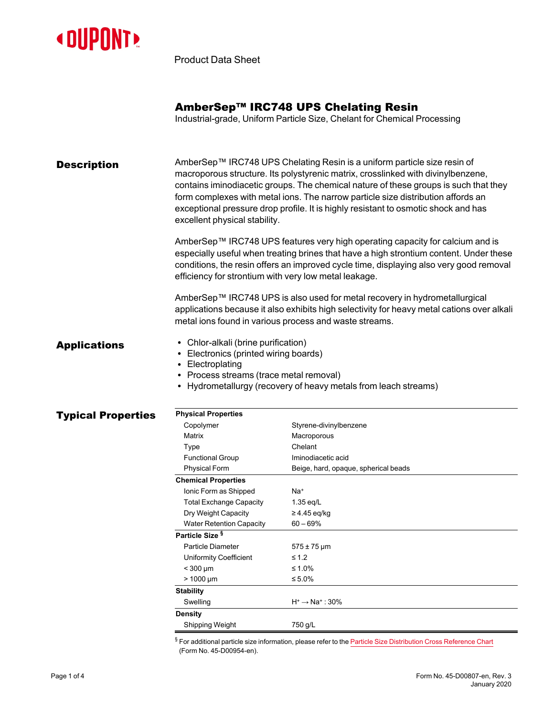

Product Data Sheet

| AmberSep™ IRC748 UPS Chelating Resin |  |  |  |  |
|--------------------------------------|--|--|--|--|
|--------------------------------------|--|--|--|--|

Industrial-grade, Uniform Particle Size, Chelant for Chemical Processing

| <b>Description</b> | AmberSep™ IRC748 UPS Chelating Resin is a uniform particle size resin of<br>macroporous structure. Its polystyrenic matrix, crosslinked with divinylbenzene,<br>contains iminodiacetic groups. The chemical nature of these groups is such that they<br>form complexes with metal ions. The narrow particle size distribution affords an<br>exceptional pressure drop profile. It is highly resistant to osmotic shock and has<br>excellent physical stability. |  |  |  |
|--------------------|-----------------------------------------------------------------------------------------------------------------------------------------------------------------------------------------------------------------------------------------------------------------------------------------------------------------------------------------------------------------------------------------------------------------------------------------------------------------|--|--|--|
|                    | AmberSep™ IRC748 UPS features very high operating capacity for calcium and is<br>especially useful when treating brines that have a high strontium content. Under these<br>conditions, the resin offers an improved cycle time, displaying also very good removal<br>efficiency for strontium with very low metal leakage.                                                                                                                                      |  |  |  |
|                    | AmberSep™ IRC748 UPS is also used for metal recovery in hydrometallurgical                                                                                                                                                                                                                                                                                                                                                                                      |  |  |  |

applications because it also exhibits high selectivity for heavy metal cations over alkali metal ions found in various process and waste streams.

- Applications Chlor-alkali (brine purification)
	- Electronics (printed wiring boards)
	- Electroplating
	- Process streams (trace metal removal)
	- Hydrometallurgy (recovery of heavy metals from leach streams)

| <b>Typical Properties</b> | <b>Physical Properties</b>      |                                      |  |  |
|---------------------------|---------------------------------|--------------------------------------|--|--|
|                           | Copolymer                       | Styrene-divinylbenzene               |  |  |
|                           | Matrix                          | Macroporous                          |  |  |
|                           | Type                            | Chelant                              |  |  |
|                           | <b>Functional Group</b>         | Iminodiacetic acid                   |  |  |
|                           | <b>Physical Form</b>            | Beige, hard, opaque, spherical beads |  |  |
|                           | <b>Chemical Properties</b>      |                                      |  |  |
|                           | Ionic Form as Shipped           | Na+                                  |  |  |
|                           | <b>Total Exchange Capacity</b>  | $1.35$ eq/L                          |  |  |
|                           | Dry Weight Capacity             | $\geq$ 4.45 eq/kg                    |  |  |
|                           | <b>Water Retention Capacity</b> | $60 - 69%$                           |  |  |
|                           | Particle Size <sup>§</sup>      |                                      |  |  |
|                           | Particle Diameter               | $575 \pm 75 \,\mu m$                 |  |  |
|                           | Uniformity Coefficient          | $\leq 1.2$                           |  |  |
|                           | $<$ 300 µm                      | ≤ 1.0%                               |  |  |
|                           | $> 1000 \mu m$                  | ≤ 5.0%                               |  |  |
|                           | <b>Stability</b>                |                                      |  |  |
|                           | Swelling                        | $H^+ \rightarrow Na^+$ : 30%         |  |  |
|                           | <b>Density</b>                  |                                      |  |  |
|                           | Shipping Weight                 | 750 g/L                              |  |  |

§ For additional particle size information, please refer to the Particle Size [Distribution](https://www.dupont.com/content/dam/dupont/amer/us/en/water-solutions/public/documents/en/45-D00954-en.pdf) Cross Reference Chart (Form No. 45-D00954-en).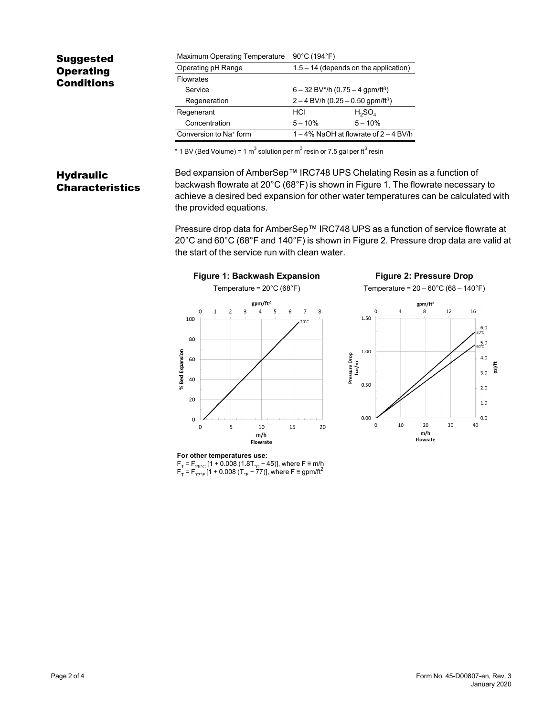### Suggested **Operating** Conditions Maximum Operating Temperature 90°C (194°F) Operating pH Range 1.5 – 14 (depends on the application) **Flowrates** Service 6 – 32 BV\*/h (0.75 – 4 gpm/ft3) Regeneration  $2 - 4$  BV/h  $(0.25 - 0.50$  gpm/ft<sup>3</sup>) Regenerant  $H_2SO_4$ Concentration  $5-10\%$   $5-10\%$ Conversion to Na<sup>+</sup> form  $1 - 4%$  NaOH at flowrate of  $2 - 4$  BV/h

\* 1 BV (Bed Volume) = 1 m $^3$  solution per m $^3$  resin or 7.5 gal per ft $^3$  resin

## **Hydraulic** Characteristics

Bed expansion of AmberSep™ IRC748 UPS Chelating Resin as a function of backwash flowrate at 20°C (68°F) is shown in [Figure 1](#page-1-0). The flowrate necessary to achieve a desired bed expansion for other water temperatures can be calculated with the provided equations.

Pressure drop data for AmberSep™ IRC748 UPS as a function of service flowrate at 20 $^{\circ}$ C and 60 $^{\circ}$ C (68 $^{\circ}$ F and 140 $^{\circ}$ F) is shown in [Figure 2](#page-1-1). Pressure drop data are valid at the start of the service run with clean water.

<span id="page-1-0"></span>

<span id="page-1-1"></span>

**For other temperatures use:** F<sub>T</sub> = F<sub>25°C</sub> [1 + 0.008 (1.8Т<sub>°C</sub> − 45)], where F ≡ m/h<br>F<sub>T</sub> = F<sub>77°F</sub> [1 + 0.008 (T<sub>°F</sub> − 77)], where F ≡ gpm/ft<sup>2</sup>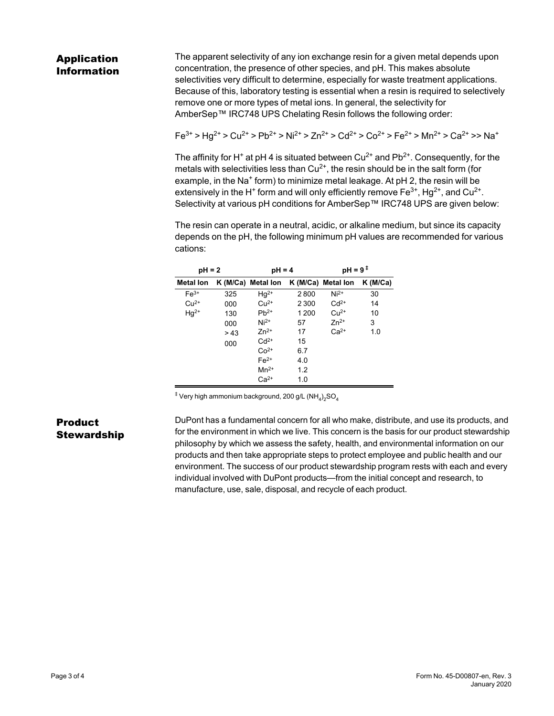# Application Information

The apparent selectivity of any ion exchange resin for a given metal depends upon concentration, the presence of other species, and pH. This makes absolute selectivities very difficult to determine, especially for waste treatment applications. Because of this, laboratory testing is essential when a resin is required to selectively remove one or more types of metal ions. In general, the selectivity for AmberSep™ IRC748 UPS Chelating Resin follows the following order:

 $Fe^{3+} > Ha^{2+} > Cu^{2+} > Pb^{2+} > Ni^{2+} > Zn^{2+} > Cd^{2+} > Co^{2+} > Fe^{2+} > Mn^{2+} > Ca^{2+} > Na^{+}$ 

The affinity for H<sup>+</sup> at pH 4 is situated between Cu<sup>2+</sup> and Pb<sup>2+</sup>. Consequently, for the metals with selectivities less than  $Cu^{2+}$ , the resin should be in the salt form (for example, in the Na<sup>+</sup> form) to minimize metal leakage. At pH 2, the resin will be extensively in the H $^+$  form and will only efficiently remove Fe $^{3+}$ , Hg $^{2+}$ , and Cu $^{2+}$ . Selectivity at various pH conditions for AmberSep™ IRC748 UPS are given below:

The resin can operate in a neutral, acidic, or alkaline medium, but since its capacity depends on the pH, the following minimum pH values are recommended for various cations:

| $pH = 2$         |     | $pH = 4$           |         | $pH = 9^+$         |            |
|------------------|-----|--------------------|---------|--------------------|------------|
| <b>Metal lon</b> |     | K (M/Ca) Metal lon |         | K (M/Ca) Metal lon | $K$ (M/Ca) |
| $Fe3+$           | 325 | $Hg^{2+}$          | 2800    | $Ni2+$             | 30         |
| $Cu2+$           | 000 | $Cu2+$             | 2 3 0 0 | $Cd2+$             | 14         |
| $Hg^{2+}$        | 130 | $Pb^{2+}$          | 1 200   | $Cu2+$             | 10         |
|                  | 000 | $Ni2+$             | 57      | $Zn^{2+}$          | 3          |
|                  | >43 | $Zn^{2+}$          | 17      | $Ca2+$             | 1.0        |
|                  | 000 | $Cd2+$             | 15      |                    |            |
|                  |     | $Co2+$             | 6.7     |                    |            |
|                  |     | $Fe2+$             | 4.0     |                    |            |
|                  |     | $Mn^{2+}$          | 1.2     |                    |            |
|                  |     | $Ca2+$             | 1.0     |                    |            |

 $^{\ddagger}$  Very high ammonium background, 200 g/L (NH $_4)_2$ SO $_4$ 

## Product **Stewardship**

DuPont has a fundamental concern for all who make, distribute, and use its products, and for the environment in which we live. This concern is the basis for our product stewardship philosophy by which we assess the safety, health, and environmental information on our products and then take appropriate steps to protect employee and public health and our environment. The success of our product stewardship program rests with each and every individual involved with DuPont products—from the initial concept and research, to manufacture, use, sale, disposal, and recycle of each product.